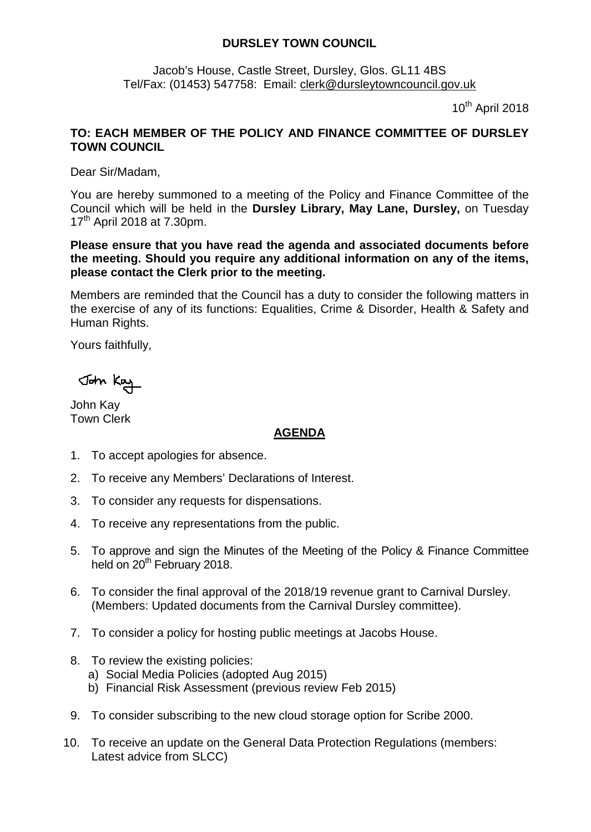## **DURSLEY TOWN COUNCIL**

Jacob's House, Castle Street, Dursley, Glos. GL11 4BS Tel/Fax: (01453) 547758: Email: [clerk@dursleytowncouncil.gov.uk](mailto:clerk@dursleytowncouncil.gov.uk)

 $10^{th}$  April 2018

## **TO: EACH MEMBER OF THE POLICY AND FINANCE COMMITTEE OF DURSLEY TOWN COUNCIL**

Dear Sir/Madam,

You are hereby summoned to a meeting of the Policy and Finance Committee of the Council which will be held in the **Dursley Library, May Lane, Dursley,** on Tuesday  $17<sup>th</sup>$  April 2018 at 7.30pm.

**Please ensure that you have read the agenda and associated documents before the meeting. Should you require any additional information on any of the items, please contact the Clerk prior to the meeting.** 

Members are reminded that the Council has a duty to consider the following matters in the exercise of any of its functions: Equalities, Crime & Disorder, Health & Safety and Human Rights.

Yours faithfully,

John Kay

John Kay Town Clerk

## **AGENDA**

- 1. To accept apologies for absence.
- 2. To receive any Members' Declarations of Interest.
- 3. To consider any requests for dispensations.
- 4. To receive any representations from the public.
- 5. To approve and sign the Minutes of the Meeting of the Policy & Finance Committee held on 20<sup>th</sup> February 2018.
- 6. To consider the final approval of the 2018/19 revenue grant to Carnival Dursley. (Members: Updated documents from the Carnival Dursley committee).
- 7. To consider a policy for hosting public meetings at Jacobs House.
- 8. To review the existing policies:
	- a) Social Media Policies (adopted Aug 2015)
	- b) Financial Risk Assessment (previous review Feb 2015)
- 9. To consider subscribing to the new cloud storage option for Scribe 2000.
- 10. To receive an update on the General Data Protection Regulations (members: Latest advice from SLCC)